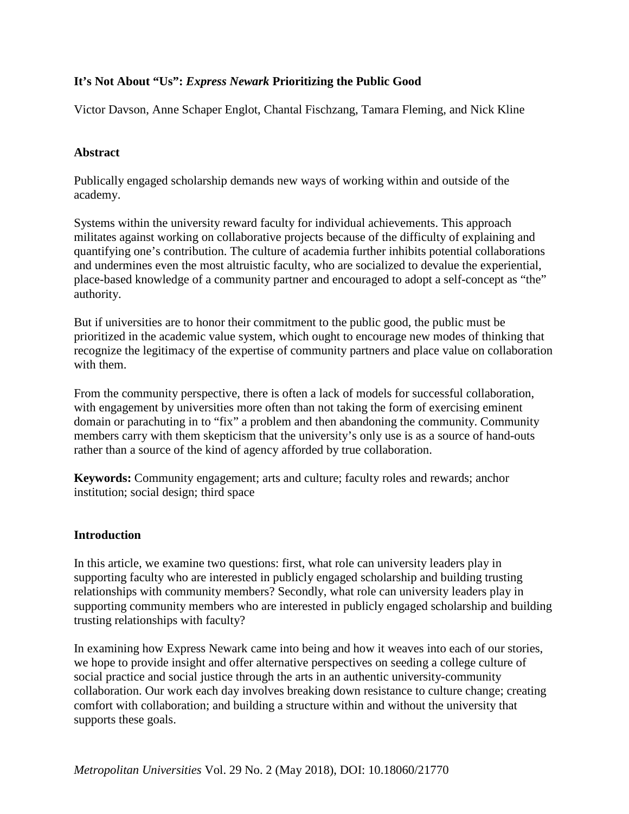# **It's Not About "Us":** *Express Newark* **Prioritizing the Public Good**

Victor Davson, Anne Schaper Englot, Chantal Fischzang, Tamara Fleming, and Nick Kline

### **Abstract**

Publically engaged scholarship demands new ways of working within and outside of the academy.

Systems within the university reward faculty for individual achievements. This approach militates against working on collaborative projects because of the difficulty of explaining and quantifying one's contribution. The culture of academia further inhibits potential collaborations and undermines even the most altruistic faculty, who are socialized to devalue the experiential, place-based knowledge of a community partner and encouraged to adopt a self-concept as "the" authority.

But if universities are to honor their commitment to the public good, the public must be prioritized in the academic value system, which ought to encourage new modes of thinking that recognize the legitimacy of the expertise of community partners and place value on collaboration with them.

From the community perspective, there is often a lack of models for successful collaboration, with engagement by universities more often than not taking the form of exercising eminent domain or parachuting in to "fix" a problem and then abandoning the community. Community members carry with them skepticism that the university's only use is as a source of hand-outs rather than a source of the kind of agency afforded by true collaboration.

**Keywords:** Community engagement; arts and culture; faculty roles and rewards; anchor institution; social design; third space

#### **Introduction**

In this article, we examine two questions: first, what role can university leaders play in supporting faculty who are interested in publicly engaged scholarship and building trusting relationships with community members? Secondly, what role can university leaders play in supporting community members who are interested in publicly engaged scholarship and building trusting relationships with faculty?

In examining how Express Newark came into being and how it weaves into each of our stories, we hope to provide insight and offer alternative perspectives on seeding a college culture of social practice and social justice through the arts in an authentic university-community collaboration. Our work each day involves breaking down resistance to culture change; creating comfort with collaboration; and building a structure within and without the university that supports these goals.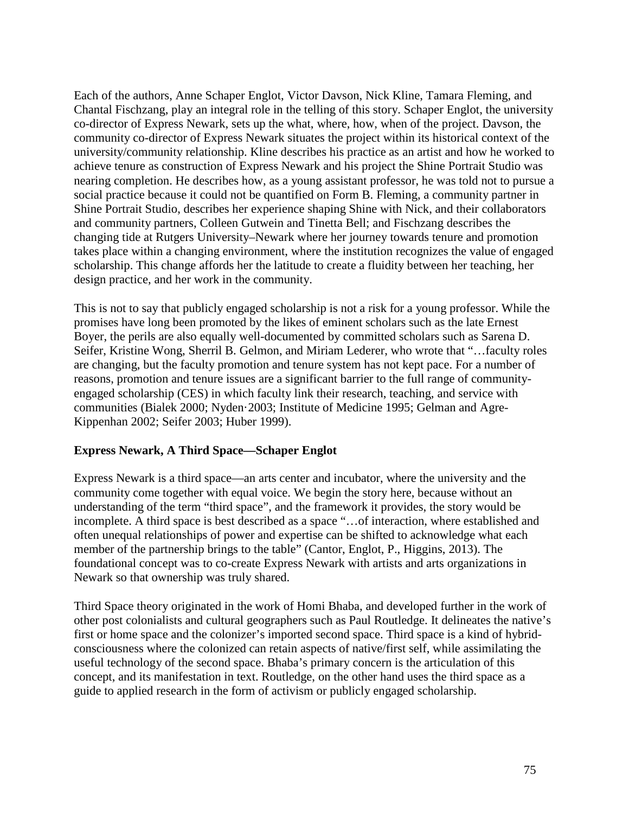Each of the authors, Anne Schaper Englot, Victor Davson, Nick Kline, Tamara Fleming, and Chantal Fischzang, play an integral role in the telling of this story. Schaper Englot, the university co-director of Express Newark, sets up the what, where, how, when of the project. Davson, the community co-director of Express Newark situates the project within its historical context of the university/community relationship. Kline describes his practice as an artist and how he worked to achieve tenure as construction of Express Newark and his project the Shine Portrait Studio was nearing completion. He describes how, as a young assistant professor, he was told not to pursue a social practice because it could not be quantified on Form B. Fleming, a community partner in Shine Portrait Studio, describes her experience shaping Shine with Nick, and their collaborators and community partners, Colleen Gutwein and Tinetta Bell; and Fischzang describes the changing tide at Rutgers University–Newark where her journey towards tenure and promotion takes place within a changing environment, where the institution recognizes the value of engaged scholarship. This change affords her the latitude to create a fluidity between her teaching, her design practice, and her work in the community.

This is not to say that publicly engaged scholarship is not a risk for a young professor. While the promises have long been promoted by the likes of eminent scholars such as the late Ernest Boyer, the perils are also equally well-documented by committed scholars such as Sarena D. Seifer, Kristine Wong, Sherril B. Gelmon, and Miriam Lederer, who wrote that "…faculty roles are changing, but the faculty promotion and tenure system has not kept pace. For a number of reasons, promotion and tenure issues are a significant barrier to the full range of communityengaged scholarship (CES) in which faculty link their research, teaching, and service with communities (Bialek 2000; Nyden·2003; Institute of Medicine 1995; Gelman and Agre-Kippenhan 2002; Seifer 2003; Huber 1999).

# **Express Newark, A Third Space—Schaper Englot**

Express Newark is a third space—an arts center and incubator, where the university and the community come together with equal voice. We begin the story here, because without an understanding of the term "third space", and the framework it provides, the story would be incomplete. A third space is best described as a space "…of interaction, where established and often unequal relationships of power and expertise can be shifted to acknowledge what each member of the partnership brings to the table" (Cantor, Englot, P., Higgins, 2013). The foundational concept was to co-create Express Newark with artists and arts organizations in Newark so that ownership was truly shared.

Third Space theory originated in the work of Homi Bhaba, and developed further in the work of other post colonialists and cultural geographers such as Paul Routledge. It delineates the native's first or home space and the colonizer's imported second space. Third space is a kind of hybridconsciousness where the colonized can retain aspects of native/first self, while assimilating the useful technology of the second space. Bhaba's primary concern is the articulation of this concept, and its manifestation in text. Routledge, on the other hand uses the third space as a guide to applied research in the form of activism or publicly engaged scholarship.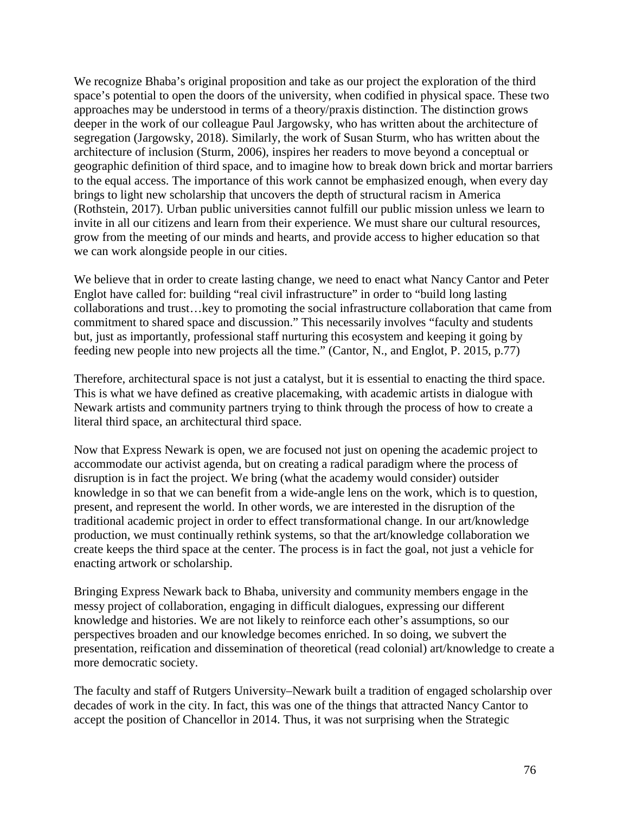We recognize Bhaba's original proposition and take as our project the exploration of the third space's potential to open the doors of the university, when codified in physical space. These two approaches may be understood in terms of a theory/praxis distinction. The distinction grows deeper in the work of our colleague Paul Jargowsky, who has written about the architecture of segregation (Jargowsky, 2018). Similarly, the work of Susan Sturm, who has written about the architecture of inclusion (Sturm, 2006), inspires her readers to move beyond a conceptual or geographic definition of third space, and to imagine how to break down brick and mortar barriers to the equal access. The importance of this work cannot be emphasized enough, when every day brings to light new scholarship that uncovers the depth of structural racism in America (Rothstein, 2017). Urban public universities cannot fulfill our public mission unless we learn to invite in all our citizens and learn from their experience. We must share our cultural resources, grow from the meeting of our minds and hearts, and provide access to higher education so that we can work alongside people in our cities.

We believe that in order to create lasting change, we need to enact what Nancy Cantor and Peter Englot have called for: building "real civil infrastructure" in order to "build long lasting collaborations and trust…key to promoting the social infrastructure collaboration that came from commitment to shared space and discussion." This necessarily involves "faculty and students but, just as importantly, professional staff nurturing this ecosystem and keeping it going by feeding new people into new projects all the time." (Cantor, N., and Englot, P. 2015, p.77)

Therefore, architectural space is not just a catalyst, but it is essential to enacting the third space. This is what we have defined as creative placemaking, with academic artists in dialogue with Newark artists and community partners trying to think through the process of how to create a literal third space, an architectural third space.

Now that Express Newark is open, we are focused not just on opening the academic project to accommodate our activist agenda, but on creating a radical paradigm where the process of disruption is in fact the project. We bring (what the academy would consider) outsider knowledge in so that we can benefit from a wide-angle lens on the work, which is to question, present, and represent the world. In other words, we are interested in the disruption of the traditional academic project in order to effect transformational change. In our art/knowledge production, we must continually rethink systems, so that the art/knowledge collaboration we create keeps the third space at the center. The process is in fact the goal, not just a vehicle for enacting artwork or scholarship.

Bringing Express Newark back to Bhaba, university and community members engage in the messy project of collaboration, engaging in difficult dialogues, expressing our different knowledge and histories. We are not likely to reinforce each other's assumptions, so our perspectives broaden and our knowledge becomes enriched. In so doing, we subvert the presentation, reification and dissemination of theoretical (read colonial) art/knowledge to create a more democratic society.

The faculty and staff of Rutgers University–Newark built a tradition of engaged scholarship over decades of work in the city. In fact, this was one of the things that attracted Nancy Cantor to accept the position of Chancellor in 2014. Thus, it was not surprising when the Strategic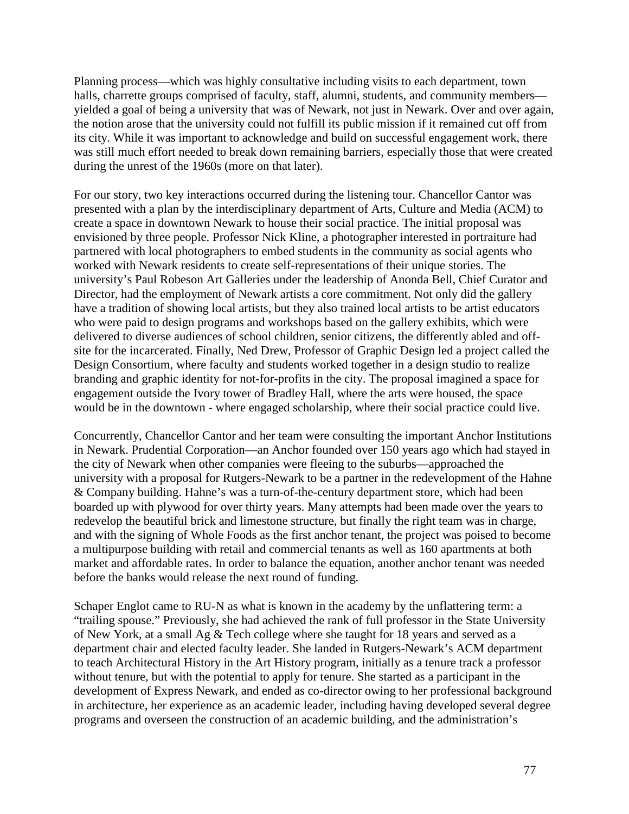Planning process—which was highly consultative including visits to each department, town halls, charrette groups comprised of faculty, staff, alumni, students, and community members yielded a goal of being a university that was of Newark, not just in Newark. Over and over again, the notion arose that the university could not fulfill its public mission if it remained cut off from its city. While it was important to acknowledge and build on successful engagement work, there was still much effort needed to break down remaining barriers, especially those that were created during the unrest of the 1960s (more on that later).

For our story, two key interactions occurred during the listening tour. Chancellor Cantor was presented with a plan by the interdisciplinary department of Arts, Culture and Media (ACM) to create a space in downtown Newark to house their social practice. The initial proposal was envisioned by three people. Professor Nick Kline, a photographer interested in portraiture had partnered with local photographers to embed students in the community as social agents who worked with Newark residents to create self-representations of their unique stories. The university's Paul Robeson Art Galleries under the leadership of Anonda Bell, Chief Curator and Director, had the employment of Newark artists a core commitment. Not only did the gallery have a tradition of showing local artists, but they also trained local artists to be artist educators who were paid to design programs and workshops based on the gallery exhibits, which were delivered to diverse audiences of school children, senior citizens, the differently abled and offsite for the incarcerated. Finally, Ned Drew, Professor of Graphic Design led a project called the Design Consortium, where faculty and students worked together in a design studio to realize branding and graphic identity for not-for-profits in the city. The proposal imagined a space for engagement outside the Ivory tower of Bradley Hall, where the arts were housed, the space would be in the downtown - where engaged scholarship, where their social practice could live.

Concurrently, Chancellor Cantor and her team were consulting the important Anchor Institutions in Newark. Prudential Corporation—an Anchor founded over 150 years ago which had stayed in the city of Newark when other companies were fleeing to the suburbs—approached the university with a proposal for Rutgers-Newark to be a partner in the redevelopment of the Hahne & Company building. Hahne's was a turn-of-the-century department store, which had been boarded up with plywood for over thirty years. Many attempts had been made over the years to redevelop the beautiful brick and limestone structure, but finally the right team was in charge, and with the signing of Whole Foods as the first anchor tenant, the project was poised to become a multipurpose building with retail and commercial tenants as well as 160 apartments at both market and affordable rates. In order to balance the equation, another anchor tenant was needed before the banks would release the next round of funding.

Schaper Englot came to RU-N as what is known in the academy by the unflattering term: a "trailing spouse." Previously, she had achieved the rank of full professor in the State University of New York, at a small Ag & Tech college where she taught for 18 years and served as a department chair and elected faculty leader. She landed in Rutgers-Newark's ACM department to teach Architectural History in the Art History program, initially as a tenure track a professor without tenure, but with the potential to apply for tenure. She started as a participant in the development of Express Newark, and ended as co-director owing to her professional background in architecture, her experience as an academic leader, including having developed several degree programs and overseen the construction of an academic building, and the administration's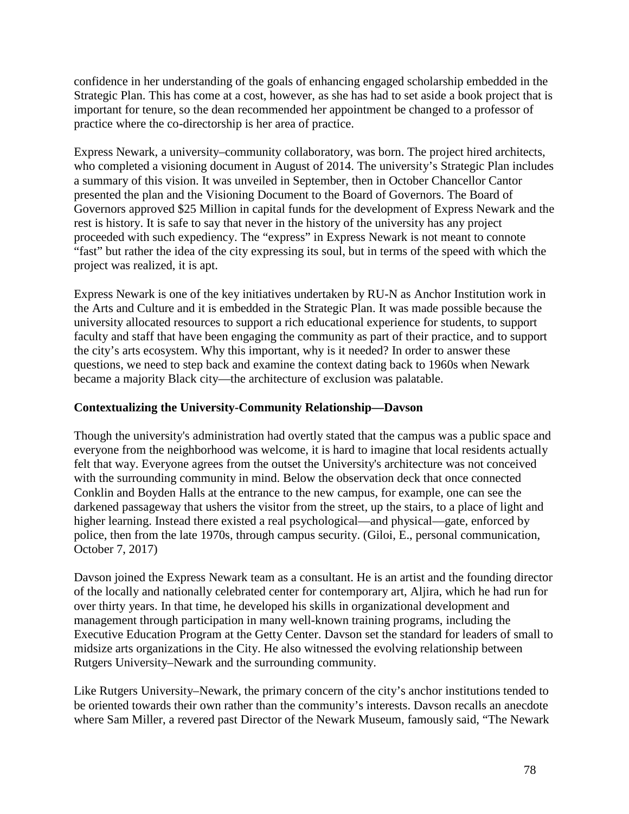confidence in her understanding of the goals of enhancing engaged scholarship embedded in the Strategic Plan. This has come at a cost, however, as she has had to set aside a book project that is important for tenure, so the dean recommended her appointment be changed to a professor of practice where the co-directorship is her area of practice.

Express Newark, a university–community collaboratory, was born. The project hired architects, who completed a visioning document in August of 2014. The university's Strategic Plan includes a summary of this vision. It was unveiled in September, then in October Chancellor Cantor presented the plan and the Visioning Document to the Board of Governors. The Board of Governors approved \$25 Million in capital funds for the development of Express Newark and the rest is history. It is safe to say that never in the history of the university has any project proceeded with such expediency. The "express" in Express Newark is not meant to connote "fast" but rather the idea of the city expressing its soul, but in terms of the speed with which the project was realized, it is apt.

Express Newark is one of the key initiatives undertaken by RU-N as Anchor Institution work in the Arts and Culture and it is embedded in the Strategic Plan. It was made possible because the university allocated resources to support a rich educational experience for students, to support faculty and staff that have been engaging the community as part of their practice, and to support the city's arts ecosystem. Why this important, why is it needed? In order to answer these questions, we need to step back and examine the context dating back to 1960s when Newark became a majority Black city—the architecture of exclusion was palatable.

## **Contextualizing the University-Community Relationship—Davson**

Though the university's administration had overtly stated that the campus was a public space and everyone from the neighborhood was welcome, it is hard to imagine that local residents actually felt that way. Everyone agrees from the outset the University's architecture was not conceived with the surrounding community in mind. Below the observation deck that once connected Conklin and Boyden Halls at the entrance to the new campus, for example, one can see the darkened passageway that ushers the visitor from the street, up the stairs, to a place of light and higher learning. Instead there existed a real psychological—and physical—gate, enforced by police, then from the late 1970s, through campus security. (Giloi, E., personal communication, October 7, 2017)

Davson joined the Express Newark team as a consultant. He is an artist and the founding director of the locally and nationally celebrated center for contemporary art, Aljira, which he had run for over thirty years. In that time, he developed his skills in organizational development and management through participation in many well-known training programs, including the Executive Education Program at the Getty Center. Davson set the standard for leaders of small to midsize arts organizations in the City. He also witnessed the evolving relationship between Rutgers University–Newark and the surrounding community.

Like Rutgers University–Newark, the primary concern of the city's anchor institutions tended to be oriented towards their own rather than the community's interests. Davson recalls an anecdote where Sam Miller, a revered past Director of the Newark Museum, famously said, "The Newark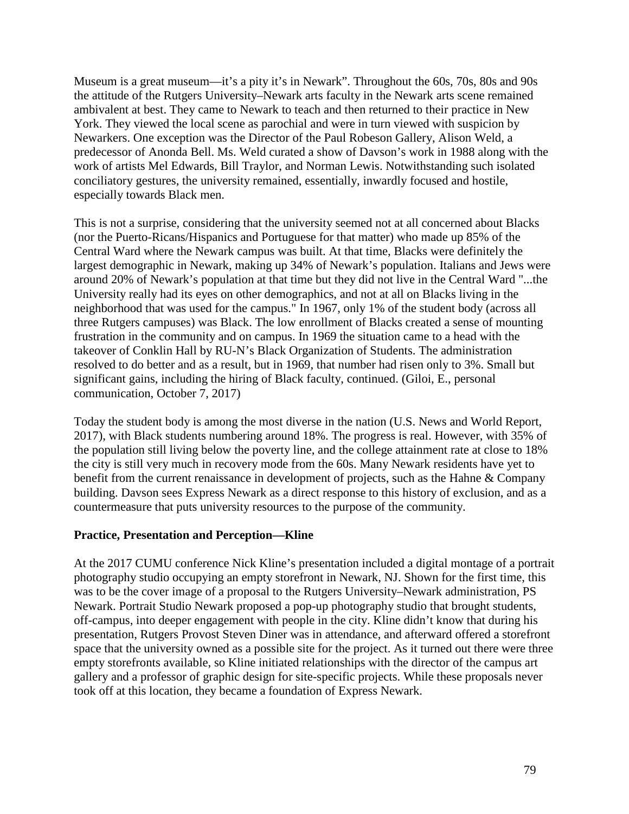Museum is a great museum—it's a pity it's in Newark". Throughout the 60s, 70s, 80s and 90s the attitude of the Rutgers University–Newark arts faculty in the Newark arts scene remained ambivalent at best. They came to Newark to teach and then returned to their practice in New York. They viewed the local scene as parochial and were in turn viewed with suspicion by Newarkers. One exception was the Director of the Paul Robeson Gallery, Alison Weld, a predecessor of Anonda Bell. Ms. Weld curated a show of Davson's work in 1988 along with the work of artists Mel Edwards, Bill Traylor, and Norman Lewis. Notwithstanding such isolated conciliatory gestures, the university remained, essentially, inwardly focused and hostile, especially towards Black men.

This is not a surprise, considering that the university seemed not at all concerned about Blacks (nor the Puerto-Ricans/Hispanics and Portuguese for that matter) who made up 85% of the Central Ward where the Newark campus was built. At that time, Blacks were definitely the largest demographic in Newark, making up 34% of Newark's population. Italians and Jews were around 20% of Newark's population at that time but they did not live in the Central Ward "...the University really had its eyes on other demographics, and not at all on Blacks living in the neighborhood that was used for the campus." In 1967, only 1% of the student body (across all three Rutgers campuses) was Black. The low enrollment of Blacks created a sense of mounting frustration in the community and on campus. In 1969 the situation came to a head with the takeover of Conklin Hall by RU-N's Black Organization of Students. The administration resolved to do better and as a result, but in 1969, that number had risen only to 3%. Small but significant gains, including the hiring of Black faculty, continued. (Giloi, E., personal communication, October 7, 2017)

Today the student body is among the most diverse in the nation (U.S. News and World Report, 2017), with Black students numbering around 18%. The progress is real. However, with 35% of the population still living below the poverty line, and the college attainment rate at close to 18% the city is still very much in recovery mode from the 60s. Many Newark residents have yet to benefit from the current renaissance in development of projects, such as the Hahne & Company building. Davson sees Express Newark as a direct response to this history of exclusion, and as a countermeasure that puts university resources to the purpose of the community.

#### **Practice, Presentation and Perception—Kline**

At the 2017 CUMU conference Nick Kline's presentation included a digital montage of a portrait photography studio occupying an empty storefront in Newark, NJ. Shown for the first time, this was to be the cover image of a proposal to the Rutgers University–Newark administration, PS Newark. Portrait Studio Newark proposed a pop-up photography studio that brought students, off-campus, into deeper engagement with people in the city. Kline didn't know that during his presentation, Rutgers Provost Steven Diner was in attendance, and afterward offered a storefront space that the university owned as a possible site for the project. As it turned out there were three empty storefronts available, so Kline initiated relationships with the director of the campus art gallery and a professor of graphic design for site-specific projects. While these proposals never took off at this location, they became a foundation of Express Newark.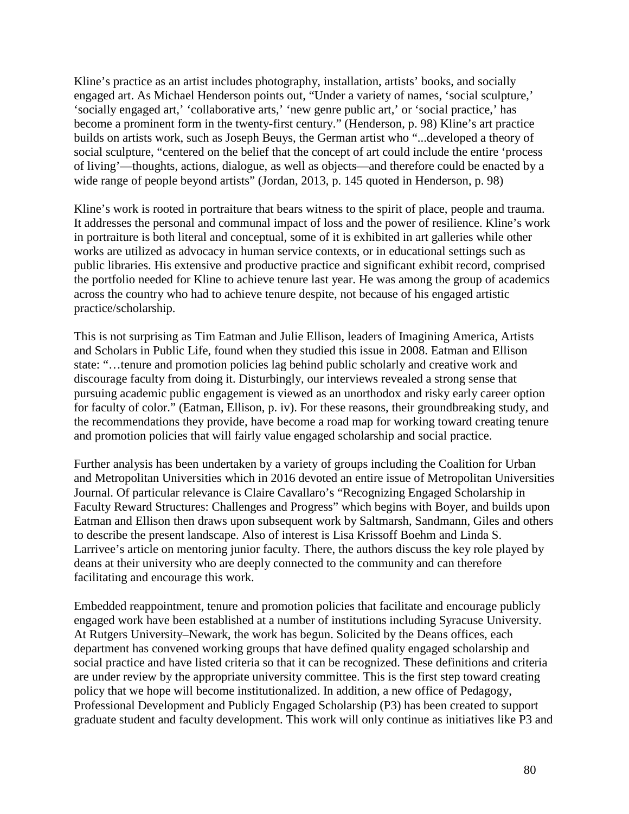Kline's practice as an artist includes photography, installation, artists' books, and socially engaged art. As Michael Henderson points out, "Under a variety of names, 'social sculpture,' 'socially engaged art,' 'collaborative arts,' 'new genre public art,' or 'social practice,' has become a prominent form in the twenty-first century." (Henderson, p. 98) Kline's art practice builds on artists work, such as Joseph Beuys, the German artist who "...developed a theory of social sculpture, "centered on the belief that the concept of art could include the entire 'process of living'—thoughts, actions, dialogue, as well as objects—and therefore could be enacted by a wide range of people beyond artists" (Jordan, 2013, p. 145 quoted in Henderson, p. 98)

Kline's work is rooted in portraiture that bears witness to the spirit of place, people and trauma. It addresses the personal and communal impact of loss and the power of resilience. Kline's work in portraiture is both literal and conceptual, some of it is exhibited in art galleries while other works are utilized as advocacy in human service contexts, or in educational settings such as public libraries. His extensive and productive practice and significant exhibit record, comprised the portfolio needed for Kline to achieve tenure last year. He was among the group of academics across the country who had to achieve tenure despite, not because of his engaged artistic practice/scholarship.

This is not surprising as Tim Eatman and Julie Ellison, leaders of Imagining America, Artists and Scholars in Public Life, found when they studied this issue in 2008. Eatman and Ellison state: "…tenure and promotion policies lag behind public scholarly and creative work and discourage faculty from doing it. Disturbingly, our interviews revealed a strong sense that pursuing academic public engagement is viewed as an unorthodox and risky early career option for faculty of color." (Eatman, Ellison, p. iv). For these reasons, their groundbreaking study, and the recommendations they provide, have become a road map for working toward creating tenure and promotion policies that will fairly value engaged scholarship and social practice.

Further analysis has been undertaken by a variety of groups including the Coalition for Urban and Metropolitan Universities which in 2016 devoted an entire issue of Metropolitan Universities Journal. Of particular relevance is Claire Cavallaro's "Recognizing Engaged Scholarship in Faculty Reward Structures: Challenges and Progress" which begins with Boyer, and builds upon Eatman and Ellison then draws upon subsequent work by Saltmarsh, Sandmann, Giles and others to describe the present landscape. Also of interest is Lisa Krissoff Boehm and Linda S. Larrivee's article on mentoring junior faculty. There, the authors discuss the key role played by deans at their university who are deeply connected to the community and can therefore facilitating and encourage this work.

Embedded reappointment, tenure and promotion policies that facilitate and encourage publicly engaged work have been established at a number of institutions including Syracuse University. At Rutgers University–Newark, the work has begun. Solicited by the Deans offices, each department has convened working groups that have defined quality engaged scholarship and social practice and have listed criteria so that it can be recognized. These definitions and criteria are under review by the appropriate university committee. This is the first step toward creating policy that we hope will become institutionalized. In addition, a new office of Pedagogy, Professional Development and Publicly Engaged Scholarship (P3) has been created to support graduate student and faculty development. This work will only continue as initiatives like P3 and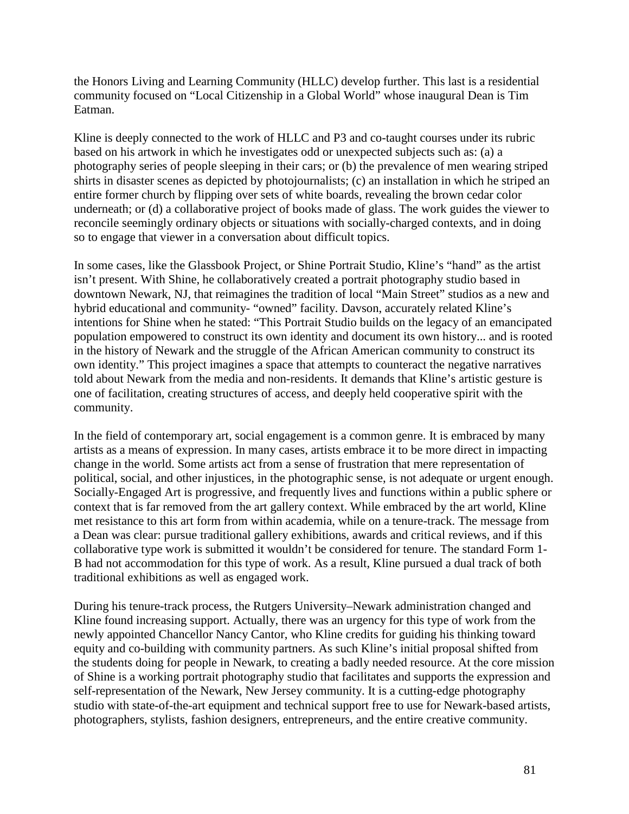the Honors Living and Learning Community (HLLC) develop further. This last is a residential community focused on "Local Citizenship in a Global World" whose inaugural Dean is Tim Eatman.

Kline is deeply connected to the work of HLLC and P3 and co-taught courses under its rubric based on his artwork in which he investigates odd or unexpected subjects such as: (a) a photography series of people sleeping in their cars; or (b) the prevalence of men wearing striped shirts in disaster scenes as depicted by photojournalists; (c) an installation in which he striped an entire former church by flipping over sets of white boards, revealing the brown cedar color underneath; or (d) a collaborative project of books made of glass. The work guides the viewer to reconcile seemingly ordinary objects or situations with socially-charged contexts, and in doing so to engage that viewer in a conversation about difficult topics.

In some cases, like the Glassbook Project, or Shine Portrait Studio, Kline's "hand" as the artist isn't present. With Shine, he collaboratively created a portrait photography studio based in downtown Newark, NJ, that reimagines the tradition of local "Main Street" studios as a new and hybrid educational and community- "owned" facility. Davson, accurately related Kline's intentions for Shine when he stated: "This Portrait Studio builds on the legacy of an emancipated population empowered to construct its own identity and document its own history... and is rooted in the history of Newark and the struggle of the African American community to construct its own identity." This project imagines a space that attempts to counteract the negative narratives told about Newark from the media and non-residents. It demands that Kline's artistic gesture is one of facilitation, creating structures of access, and deeply held cooperative spirit with the community.

In the field of contemporary art, social engagement is a common genre. It is embraced by many artists as a means of expression. In many cases, artists embrace it to be more direct in impacting change in the world. Some artists act from a sense of frustration that mere representation of political, social, and other injustices, in the photographic sense, is not adequate or urgent enough. Socially-Engaged Art is progressive, and frequently lives and functions within a public sphere or context that is far removed from the art gallery context. While embraced by the art world, Kline met resistance to this art form from within academia, while on a tenure-track. The message from a Dean was clear: pursue traditional gallery exhibitions, awards and critical reviews, and if this collaborative type work is submitted it wouldn't be considered for tenure. The standard Form 1- B had not accommodation for this type of work. As a result, Kline pursued a dual track of both traditional exhibitions as well as engaged work.

During his tenure-track process, the Rutgers University–Newark administration changed and Kline found increasing support. Actually, there was an urgency for this type of work from the newly appointed Chancellor Nancy Cantor, who Kline credits for guiding his thinking toward equity and co-building with community partners. As such Kline's initial proposal shifted from the students doing for people in Newark, to creating a badly needed resource. At the core mission of Shine is a working portrait photography studio that facilitates and supports the expression and self-representation of the Newark, New Jersey community. It is a cutting-edge photography studio with state-of-the-art equipment and technical support free to use for Newark-based artists, photographers, stylists, fashion designers, entrepreneurs, and the entire creative community.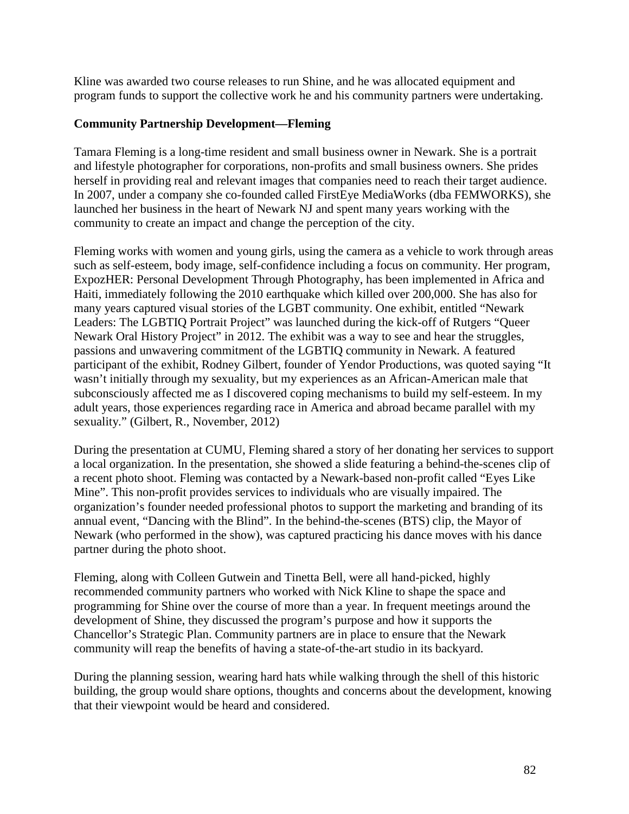Kline was awarded two course releases to run Shine, and he was allocated equipment and program funds to support the collective work he and his community partners were undertaking.

## **Community Partnership Development—Fleming**

Tamara Fleming is a long-time resident and small business owner in Newark. She is a portrait and lifestyle photographer for corporations, non-profits and small business owners. She prides herself in providing real and relevant images that companies need to reach their target audience. In 2007, under a company she co-founded called FirstEye MediaWorks (dba FEMWORKS), she launched her business in the heart of Newark NJ and spent many years working with the community to create an impact and change the perception of the city.

Fleming works with women and young girls, using the camera as a vehicle to work through areas such as self-esteem, body image, self-confidence including a focus on community. Her program, ExpozHER: Personal Development Through Photography, has been implemented in Africa and Haiti, immediately following the 2010 earthquake which killed over 200,000. She has also for many years captured visual stories of the LGBT community. One exhibit, entitled "Newark Leaders: The LGBTIQ Portrait Project" was launched during the kick-off of Rutgers "Queer Newark Oral History Project" in 2012. The exhibit was a way to see and hear the struggles, passions and unwavering commitment of the LGBTIQ community in Newark. A featured participant of the exhibit, Rodney Gilbert, founder of Yendor Productions, was quoted saying "It wasn't initially through my sexuality, but my experiences as an African-American male that subconsciously affected me as I discovered coping mechanisms to build my self-esteem. In my adult years, those experiences regarding race in America and abroad became parallel with my sexuality." (Gilbert, R., November, 2012)

During the presentation at CUMU, Fleming shared a story of her donating her services to support a local organization. In the presentation, she showed a slide featuring a behind-the-scenes clip of a recent photo shoot. Fleming was contacted by a Newark-based non-profit called "Eyes Like Mine". This non-profit provides services to individuals who are visually impaired. The organization's founder needed professional photos to support the marketing and branding of its annual event, "Dancing with the Blind". In the behind-the-scenes (BTS) clip, the Mayor of Newark (who performed in the show), was captured practicing his dance moves with his dance partner during the photo shoot.

Fleming, along with Colleen Gutwein and Tinetta Bell, were all hand-picked, highly recommended community partners who worked with Nick Kline to shape the space and programming for Shine over the course of more than a year. In frequent meetings around the development of Shine, they discussed the program's purpose and how it supports the Chancellor's Strategic Plan. Community partners are in place to ensure that the Newark community will reap the benefits of having a state-of-the-art studio in its backyard.

During the planning session, wearing hard hats while walking through the shell of this historic building, the group would share options, thoughts and concerns about the development, knowing that their viewpoint would be heard and considered.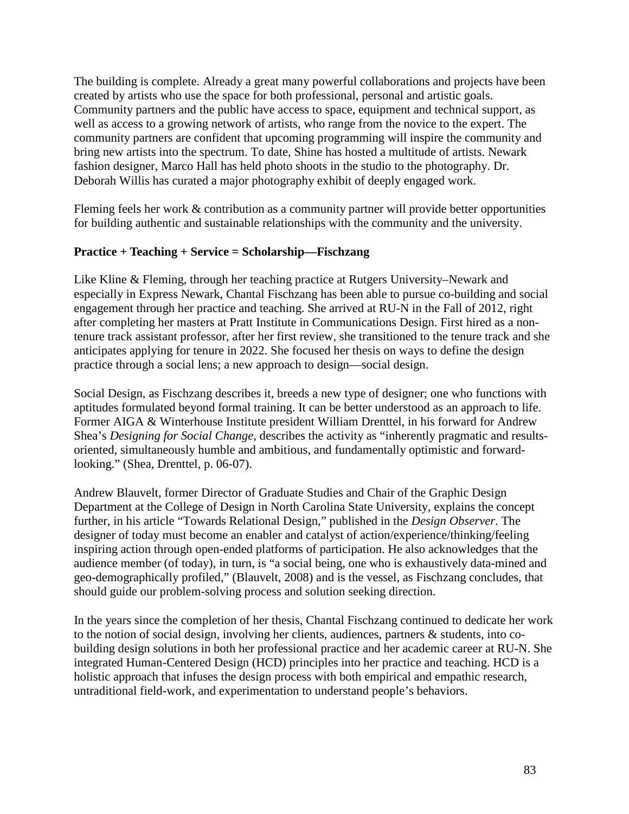The building is complete. Already a great many powerful collaborations and projects have been created by artists who use the space for both professional, personal and artistic goals. Community partners and the public have access to space, equipment and technical support, as well as access to a growing network of artists, who range from the novice to the expert. The community partners are confident that upcoming programming will inspire the community and bring new artists into the spectrum. To date, Shine has hosted a multitude of artists. Newark fashion designer, Marco Hall has held photo shoots in the studio to the photography. Dr. Deborah Willis has curated a major photography exhibit of deeply engaged work.

Fleming feels her work & contribution as a community partner will provide better opportunities for building authentic and sustainable relationships with the community and the university.

# **Practice + Teaching + Service = Scholarship—Fischzang**

Like Kline & Fleming, through her teaching practice at Rutgers University–Newark and especially in Express Newark, Chantal Fischzang has been able to pursue co-building and social engagement through her practice and teaching. She arrived at RU-N in the Fall of 2012, right after completing her masters at Pratt Institute in Communications Design. First hired as a nontenure track assistant professor, after her first review, she transitioned to the tenure track and she anticipates applying for tenure in 2022. She focused her thesis on ways to define the design practice through a social lens; a new approach to design—social design.

Social Design, as Fischzang describes it, breeds a new type of designer; one who functions with aptitudes formulated beyond formal training. It can be better understood as an approach to life. Former AIGA & Winterhouse Institute president William Drenttel, in his forward for Andrew Shea's *Designing for Social Change*, describes the activity as "inherently pragmatic and resultsoriented, simultaneously humble and ambitious, and fundamentally optimistic and forwardlooking." (Shea, Drenttel, p. 06-07).

Andrew Blauvelt, former Director of Graduate Studies and Chair of the Graphic Design Department at the College of Design in North Carolina State [University,](https://en.wikipedia.org/wiki/North_Carolina_State_University) explains the concept further, in his article "Towards Relational Design," published in the *Design Observer*. The designer of today must become an enabler and catalyst of action/experience/thinking/feeling inspiring action through open-ended platforms of participation. He also acknowledges that the audience member (of today), in turn, is "a social being, one who is exhaustively data-mined and geo-demographically profiled," (Blauvelt, 2008) and is the vessel, as Fischzang concludes, that should guide our problem-solving process and solution seeking direction.

In the years since the completion of her thesis, Chantal Fischzang continued to dedicate her work to the notion of social design, involving her clients, audiences, partners & students, into cobuilding design solutions in both her professional practice and her academic career at RU-N. She integrated Human-Centered Design (HCD) principles into her practice and teaching. HCD is a holistic approach that infuses the design process with both empirical and empathic research, untraditional field-work, and experimentation to understand people's behaviors.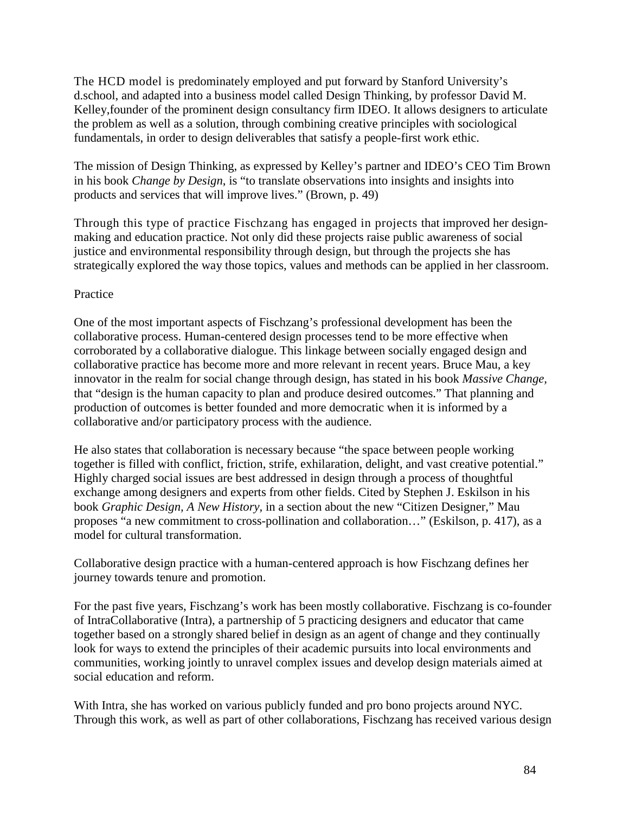The HCD model is predominately employed and put forward by Stanford University's d.school, and adapted into a business model called Design Thinking, by professor David M. Kelley,founder of the prominent design consultancy firm IDEO. It allows designers to articulate the problem as well as a solution, through combining creative principles with sociological fundamentals, in order to design deliverables that satisfy a people-first work ethic.

The mission of Design Thinking, as expressed by Kelley's partner and IDEO's CEO Tim Brown in his book *Change by Design*, is "to translate observations into insights and insights into products and services that will improve lives." (Brown, p. 49)

Through this type of practice Fischzang has engaged in projects that improved her designmaking and education practice. Not only did these projects raise public awareness of social justice and environmental responsibility through design, but through the projects she has strategically explored the way those topics, values and methods can be applied in her classroom.

### Practice

One of the most important aspects of Fischzang's professional development has been the collaborative process. Human-centered design processes tend to be more effective when corroborated by a collaborative dialogue. This linkage between socially engaged design and collaborative practice has become more and more relevant in recent years. Bruce Mau, a key innovator in the realm for social change through design, has stated in his book *Massive Change,* that "design is the human capacity to plan and produce desired outcomes." That planning and production of outcomes is better founded and more democratic when it is informed by a collaborative and/or participatory process with the audience.

He also states that collaboration is necessary because "the space between people working together is filled with conflict, friction, strife, exhilaration, delight, and vast creative potential." Highly charged social issues are best addressed in design through a process of thoughtful exchange among designers and experts from other fields. Cited by Stephen J. [Eskilson](https://www.amazon.com/s/ref=dp_byline_sr_book_1?ie=UTF8&text=Stephen+J.+Eskilson&search-alias=books&field-author=Stephen+J.+Eskilson&sort=relevancerank) in his book *Graphic Design, A New History,* in a section about the new "Citizen Designer," Mau proposes "a new commitment to cross-pollination and collaboration…" (Eskilson, p. 417), as a model for cultural transformation.

Collaborative design practice with a human-centered approach is how Fischzang defines her journey towards tenure and promotion.

For the past five years, Fischzang's work has been mostly collaborative. Fischzang is co-founder of IntraCollaborative (Intra), a partnership of 5 practicing designers and educator that came together based on a strongly shared belief in design as an agent of change and they continually look for ways to extend the principles of their academic pursuits into local environments and communities, working jointly to unravel complex issues and develop design materials aimed at social education and reform.

With Intra, she has worked on various publicly funded and pro bono projects around NYC. Through this work, as well as part of other collaborations, Fischzang has received various design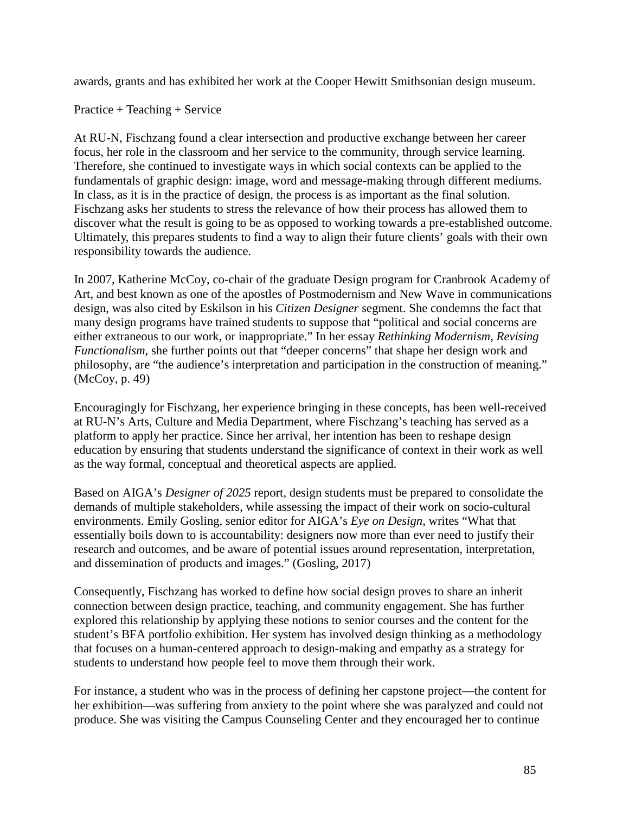awards, grants and has exhibited her work at the Cooper Hewitt Smithsonian design museum.

Practice + Teaching + Service

At RU-N, Fischzang found a clear intersection and productive exchange between her career focus, her role in the classroom and her service to the community, through service learning. Therefore, she continued to investigate ways in which social contexts can be applied to the fundamentals of graphic design: image, word and message-making through different mediums. In class, as it is in the practice of design, the process is as important as the final solution. Fischzang asks her students to stress the relevance of how their process has allowed them to discover what the result is going to be as opposed to working towards a pre-established outcome. Ultimately, this prepares students to find a way to align their future clients' goals with their own responsibility towards the audience.

In 2007, Katherine McCoy, co-chair of the graduate Design program for [Cranbrook](https://en.wikipedia.org/wiki/Cranbrook_Academy_of_Art) Academy of [Art,](https://en.wikipedia.org/wiki/Cranbrook_Academy_of_Art) and best known as one of the apostles of Postmodernism and New Wave in communications design, was also cited by Eskilson in his *Citizen Designer* segment. She condemns the fact that many design programs have trained students to suppose that "political and social concerns are either extraneous to our work, or inappropriate." In her essay *Rethinking Modernism, Revising Functionalism*, she further points out that "deeper concerns" that shape her design work and philosophy, are "the audience's interpretation and participation in the construction of meaning." (McCoy, p. 49)

Encouragingly for Fischzang, her experience bringing in these concepts, has been well-received at RU-N's Arts, Culture and Media Department, where Fischzang's teaching has served as a platform to apply her practice. Since her arrival, her intention has been to reshape design education by ensuring that students understand the significance of context in their work as well as the way formal, conceptual and theoretical aspects are applied.

Based on AIGA's *Designer of 2025* report, design students must be prepared to consolidate the demands of multiple stakeholders, while assessing the impact of their work on socio-cultural environments. Emily Gosling, senior editor for AIGA's *Eye on Design*, writes "What that essentially boils down to is accountability: designers now more than ever need to justify their research and outcomes, and be aware of potential issues around representation, interpretation, and dissemination of products and images." (Gosling, 2017)

Consequently, Fischzang has worked to define how social design proves to share an inherit connection between design practice, teaching, and community engagement. She has further explored this relationship by applying these notions to senior courses and the content for the student's BFA portfolio exhibition. Her system has involved design thinking as a methodology that focuses on a human-centered approach to design-making and empathy as a strategy for students to understand how people feel to move them through their work.

For instance, a student who was in the process of defining her capstone project—the content for her exhibition—was suffering from anxiety to the point where she was paralyzed and could not produce. She was visiting the Campus Counseling Center and they encouraged her to continue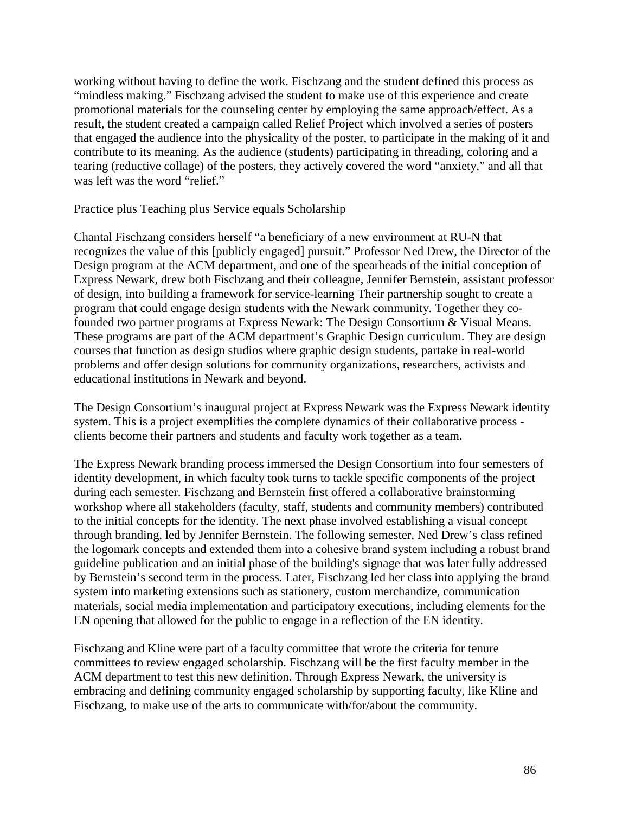working without having to define the work. Fischzang and the student defined this process as "mindless making." Fischzang advised the student to make use of this experience and create promotional materials for the counseling center by employing the same approach/effect. As a result, the student created a campaign called Relief Project which involved a series of posters that engaged the audience into the physicality of the poster, to participate in the making of it and contribute to its meaning. As the audience (students) participating in threading, coloring and a tearing (reductive collage) of the posters, they actively covered the word "anxiety," and all that was left was the word "relief."

Practice plus Teaching plus Service equals Scholarship

Chantal Fischzang considers herself "a beneficiary of a new environment at RU-N that recognizes the value of this [publicly engaged] pursuit." Professor Ned Drew, the Director of the Design program at the ACM department, and one of the spearheads of the initial conception of Express Newark, drew both Fischzang and their colleague, Jennifer Bernstein, assistant professor of design, into building a framework for service-learning Their partnership sought to create a program that could engage design students with the Newark community. Together they cofounded two partner programs at Express Newark: The Design Consortium & Visual Means. These programs are part of the ACM department's Graphic Design curriculum. They are design courses that function as design studios where graphic design students, partake in real-world problems and offer design solutions for community organizations, researchers, activists and educational institutions in Newark and beyond.

The Design Consortium's inaugural project at Express Newark was the Express Newark identity system. This is a project exemplifies the complete dynamics of their collaborative process clients become their partners and students and faculty work together as a team.

The Express Newark branding process immersed the Design Consortium into four semesters of identity development, in which faculty took turns to tackle specific components of the project during each semester. Fischzang and Bernstein first offered a collaborative brainstorming workshop where all stakeholders (faculty, staff, students and community members) contributed to the initial concepts for the identity. The next phase involved establishing a visual concept through branding, led by Jennifer Bernstein. The following semester, Ned Drew's class refined the logomark concepts and extended them into a cohesive brand system including a robust brand guideline publication and an initial phase of the building's signage that was later fully addressed by Bernstein's second term in the process. Later, Fischzang led her class into applying the brand system into marketing extensions such as stationery, custom merchandize, communication materials, social media implementation and participatory executions, including elements for the EN opening that allowed for the public to engage in a reflection of the EN identity.

Fischzang and Kline were part of a faculty committee that wrote the criteria for tenure committees to review engaged scholarship. Fischzang will be the first faculty member in the ACM department to test this new definition. Through Express Newark, the university is embracing and defining community engaged scholarship by supporting faculty, like Kline and Fischzang, to make use of the arts to communicate with/for/about the community.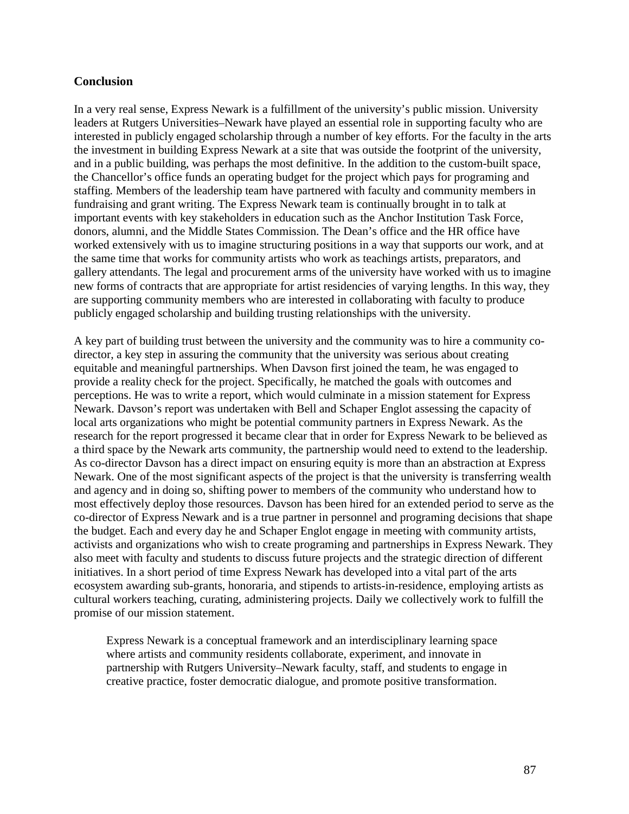#### **Conclusion**

In a very real sense, Express Newark is a fulfillment of the university's public mission. University leaders at Rutgers Universities–Newark have played an essential role in supporting faculty who are interested in publicly engaged scholarship through a number of key efforts. For the faculty in the arts the investment in building Express Newark at a site that was outside the footprint of the university, and in a public building, was perhaps the most definitive. In the addition to the custom-built space, the Chancellor's office funds an operating budget for the project which pays for programing and staffing. Members of the leadership team have partnered with faculty and community members in fundraising and grant writing. The Express Newark team is continually brought in to talk at important events with key stakeholders in education such as the Anchor Institution Task Force, donors, alumni, and the Middle States Commission. The Dean's office and the HR office have worked extensively with us to imagine structuring positions in a way that supports our work, and at the same time that works for community artists who work as teachings artists, preparators, and gallery attendants. The legal and procurement arms of the university have worked with us to imagine new forms of contracts that are appropriate for artist residencies of varying lengths. In this way, they are supporting community members who are interested in collaborating with faculty to produce publicly engaged scholarship and building trusting relationships with the university.

A key part of building trust between the university and the community was to hire a community codirector, a key step in assuring the community that the university was serious about creating equitable and meaningful partnerships. When Davson first joined the team, he was engaged to provide a reality check for the project. Specifically, he matched the goals with outcomes and perceptions. He was to write a report, which would culminate in a mission statement for Express Newark. Davson's report was undertaken with Bell and Schaper Englot assessing the capacity of local arts organizations who might be potential community partners in Express Newark. As the research for the report progressed it became clear that in order for Express Newark to be believed as a third space by the Newark arts community, the partnership would need to extend to the leadership. As co-director Davson has a direct impact on ensuring equity is more than an abstraction at Express Newark. One of the most significant aspects of the project is that the university is transferring wealth and agency and in doing so, shifting power to members of the community who understand how to most effectively deploy those resources. Davson has been hired for an extended period to serve as the co-director of Express Newark and is a true partner in personnel and programing decisions that shape the budget. Each and every day he and Schaper Englot engage in meeting with community artists, activists and organizations who wish to create programing and partnerships in Express Newark. They also meet with faculty and students to discuss future projects and the strategic direction of different initiatives. In a short period of time Express Newark has developed into a vital part of the arts ecosystem awarding sub-grants, honoraria, and stipends to artists-in-residence, employing artists as cultural workers teaching, curating, administering projects. Daily we collectively work to fulfill the promise of our mission statement.

Express Newark is a conceptual framework and an interdisciplinary learning space where artists and community residents collaborate, experiment, and innovate in partnership with Rutgers University–Newark faculty, staff, and students to engage in creative practice, foster democratic dialogue, and promote positive transformation.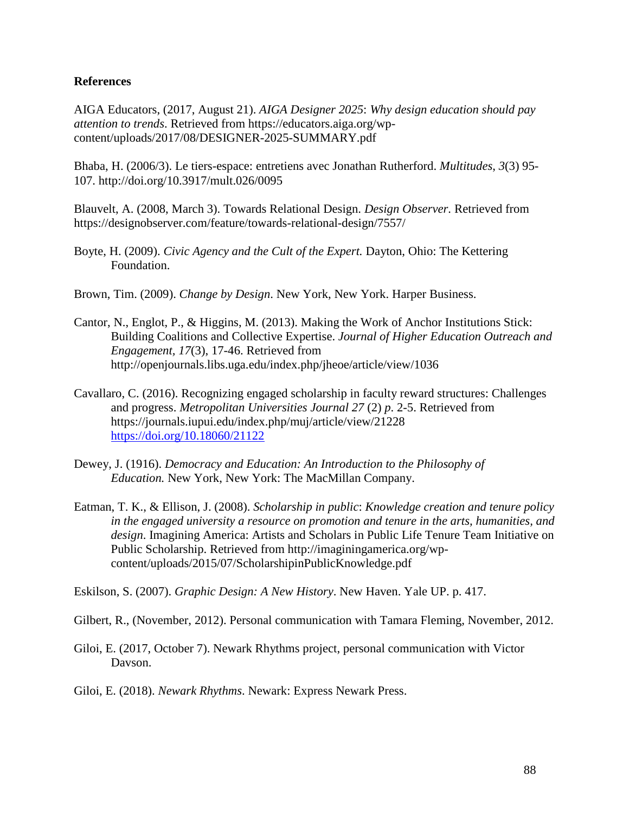#### **References**

AIGA Educators, (2017, August 21). *AIGA Designer 2025*: *Why design education should pay attention to trends*. Retrieved from https://educators.aiga.org/wpcontent/uploads/2017/08/DESIGNER-2025-SUMMARY.pdf

Bhaba, H. (2006/3). Le tiers-espace: entretiens avec Jonathan Rutherford. *Multitudes*, *3*(3) 95- 107. http://doi.org/10.3917/mult.026/0095

Blauvelt, A. (2008, March 3). Towards Relational Design. *Design Observer.* Retrieved from https://designobserver.com/feature/towards-relational-design/7557/

Boyte, H. (2009). *Civic Agency and the Cult of the Expert.* Dayton, Ohio: The Kettering Foundation.

Brown, Tim. (2009). *Change by Design*. New York, New York. Harper Business.

- Cantor, N., Englot, P., & Higgins, M. (2013). Making the Work of Anchor Institutions Stick: Building Coalitions and Collective Expertise. *Journal of Higher Education Outreach and Engagement, 17*(3), 17-46. Retrieved from http://openjournals.libs.uga.edu/index.php/jheoe/article/view/1036
- Cavallaro, C. (2016). Recognizing engaged scholarship in faculty reward structures: Challenges and progress. *Metropolitan Universities Journal 27* (2) *p*. 2-5. Retrieved from https://journals.iupui.edu/index.php/muj/article/view/21228 <https://doi.org/10.18060/21122>
- Dewey, J. (1916). *Democracy and Education: An Introduction to the Philosophy of Education.* New York, New York: The MacMillan Company.
- Eatman, T. K., & Ellison, J. (2008). *Scholarship in public*: *Knowledge creation and tenure policy in the engaged university a resource on promotion and tenure in the arts, humanities, and design*. Imagining America: Artists and Scholars in Public Life Tenure Team Initiative on Public Scholarship. Retrieved from http://imaginingamerica.org/wpcontent/uploads/2015/07/ScholarshipinPublicKnowledge.pdf

Eskilson, S. (2007). *Graphic Design: A New History*. New Haven. Yale UP. p. 417.

Gilbert, R., (November, 2012). Personal communication with Tamara Fleming, November, 2012.

- Giloi, E. (2017, October 7). Newark Rhythms project, personal communication with Victor Davson.
- Giloi, E. (2018). *Newark Rhythms*. Newark: Express Newark Press.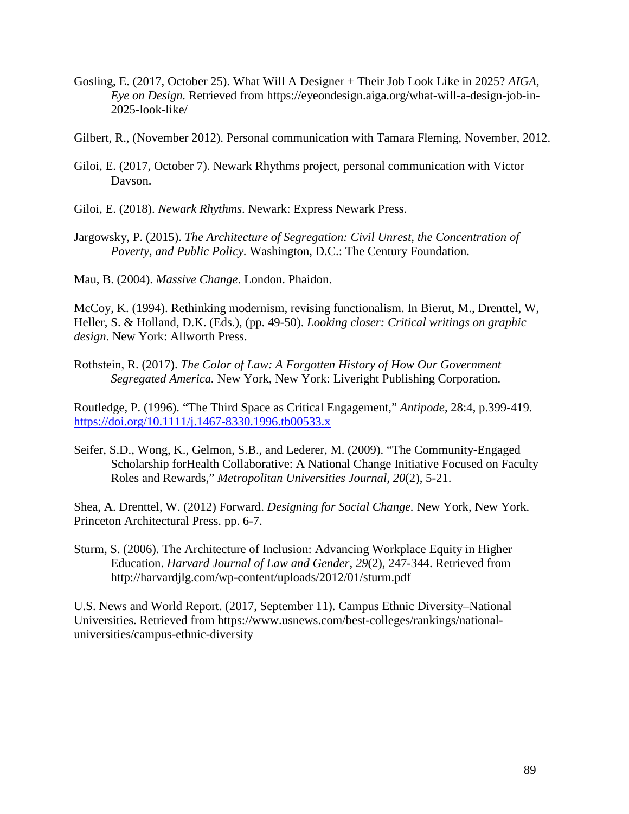- Gosling, E. (2017, October 25). What Will A Designer + Their Job Look Like in 2025? *AIGA, Eye on Design.* Retrieved from https://eyeondesign.aiga.org/what-will-a-design-job-in-2025-look-like/
- Gilbert, R., (November 2012). Personal communication with Tamara Fleming, November, 2012.
- Giloi, E. (2017, October 7). Newark Rhythms project, personal communication with Victor Davson.
- Giloi, E. (2018). *Newark Rhythms*. Newark: Express Newark Press.
- Jargowsky, P. (2015). *The Architecture of Segregation: Civil Unrest, the Concentration of Poverty, and Public Policy.* Washington, D.C.: The Century Foundation.

Mau, B. (2004). *Massive Change*. London. Phaidon.

McCoy, K. (1994). Rethinking modernism, revising functionalism. In Bierut, M., Drenttel, W, Heller, S. & Holland, D.K. (Eds.), (pp. 49-50). *Looking closer: Critical writings on graphic design*. New York: Allworth Press.

Rothstein, R. (2017). *The Color of Law: A Forgotten History of How Our Government Segregated America.* New York, New York: Liveright Publishing Corporation.

Routledge, P. (1996). "The Third Space as Critical Engagement," *Antipode*, 28:4, p.399-419. <https://doi.org/10.1111/j.1467-8330.1996.tb00533.x>

Seifer, S.D., Wong, K., Gelmon, S.B., and Lederer, M. (2009). "The Community-Engaged Scholarship forHealth Collaborative: A National Change Initiative Focused on Faculty Roles and Rewards," *Metropolitan Universities Journal, 20*(2), 5-21.

Shea, A. Drenttel, W. (2012) Forward. *Designing for Social Change.* New York, New York. Princeton Architectural Press. pp. 6-7.

Sturm, S. (2006). The Architecture of Inclusion: Advancing Workplace Equity in Higher Education. *Harvard Journal of Law and Gender, 29*(2), 247-344. Retrieved from http://harvardjlg.com/wp-content/uploads/2012/01/sturm.pdf

U.S. News and World Report. (2017, September 11). Campus Ethnic Diversity–National Universities. Retrieved from https://www.usnews.com/best-colleges/rankings/nationaluniversities/campus-ethnic-diversity